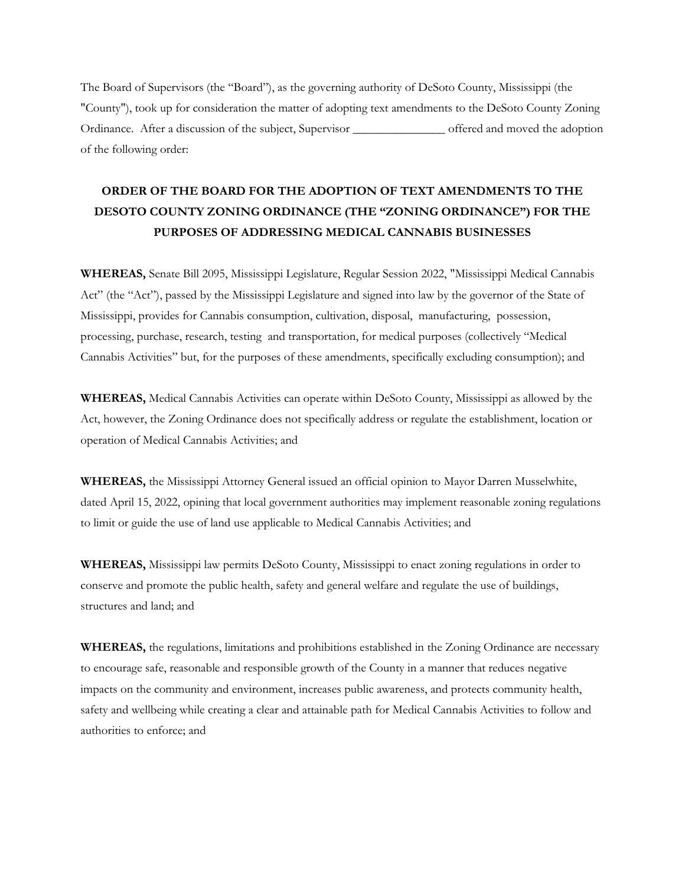The Board of Supervisors (the "Board"), as the governing authority of DeSoto County, Mississippi (the "County"), took up for consideration the matter of adopting text amendments to the DeSoto County Zoning Ordinance. After a discussion of the subject, Supervisor \_\_\_\_\_\_\_\_\_\_\_\_\_\_\_ offered and moved the adoption of the following order:

# **ORDER OF THE BOARD FOR THE ADOPTION OF TEXT AMENDMENTS TO THE DESOTO COUNTY ZONING ORDINANCE (THE "ZONING ORDINANCE") FOR THE PURPOSES OF ADDRESSING MEDICAL CANNABIS BUSINESSES**

**WHEREAS,** Senate Bill 2095, Mississippi Legislature, Regular Session 2022, "Mississippi Medical Cannabis Act" (the "Act"), passed by the Mississippi Legislature and signed into law by the governor of the State of Mississippi, provides for Cannabis consumption, cultivation, disposal, manufacturing, possession, processing, purchase, research, testing and transportation, for medical purposes (collectively "Medical Cannabis Activities" but, for the purposes of these amendments, specifically excluding consumption); and

**WHEREAS,** Medical Cannabis Activities can operate within DeSoto County, Mississippi as allowed by the Act, however, the Zoning Ordinance does not specifically address or regulate the establishment, location or operation of Medical Cannabis Activities; and

**WHEREAS,** the Mississippi Attorney General issued an official opinion to Mayor Darren Musselwhite, dated April 15, 2022, opining that local government authorities may implement reasonable zoning regulations to limit or guide the use of land use applicable to Medical Cannabis Activities; and

**WHEREAS,** Mississippi law permits DeSoto County, Mississippi to enact zoning regulations in order to conserve and promote the public health, safety and general welfare and regulate the use of buildings, structures and land; and

**WHEREAS,** the regulations, limitations and prohibitions established in the Zoning Ordinance are necessary to encourage safe, reasonable and responsible growth of the County in a manner that reduces negative impacts on the community and environment, increases public awareness, and protects community health, safety and wellbeing while creating a clear and attainable path for Medical Cannabis Activities to follow and authorities to enforce; and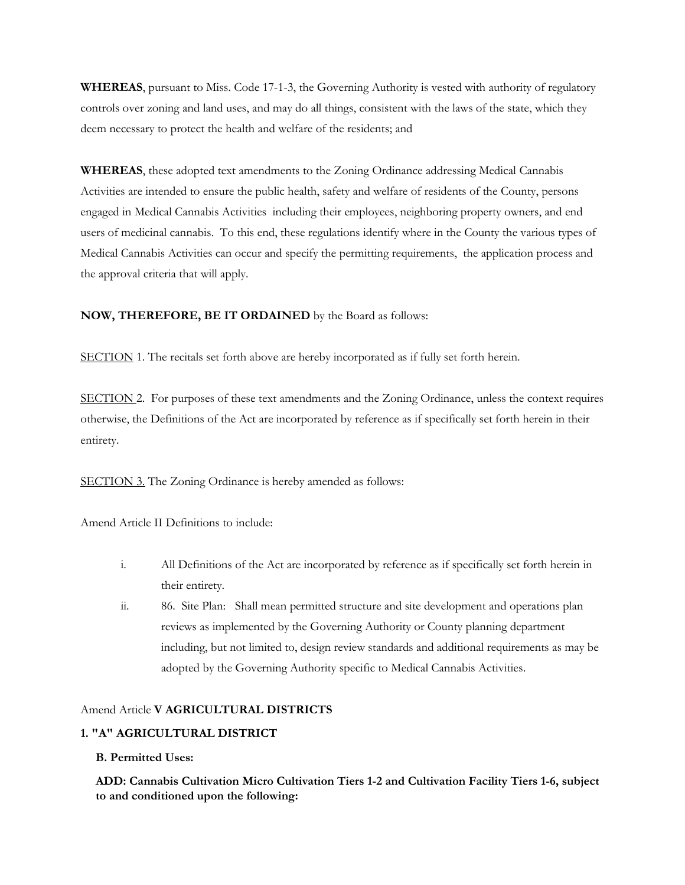**WHEREAS**, pursuant to Miss. Code 17-1-3, the Governing Authority is vested with authority of regulatory controls over zoning and land uses, and may do all things, consistent with the laws of the state, which they deem necessary to protect the health and welfare of the residents; and

**WHEREAS**, these adopted text amendments to the Zoning Ordinance addressing Medical Cannabis Activities are intended to ensure the public health, safety and welfare of residents of the County, persons engaged in Medical Cannabis Activities including their employees, neighboring property owners, and end users of medicinal cannabis. To this end, these regulations identify where in the County the various types of Medical Cannabis Activities can occur and specify the permitting requirements, the application process and the approval criteria that will apply.

#### **NOW, THEREFORE, BE IT ORDAINED** by the Board as follows:

SECTION 1. The recitals set forth above are hereby incorporated as if fully set forth herein.

SECTION 2. For purposes of these text amendments and the Zoning Ordinance, unless the context requires otherwise, the Definitions of the Act are incorporated by reference as if specifically set forth herein in their entirety.

SECTION 3. The Zoning Ordinance is hereby amended as follows:

Amend Article II Definitions to include:

- i. All Definitions of the Act are incorporated by reference as if specifically set forth herein in their entirety.
- ii. 86. Site Plan: Shall mean permitted structure and site development and operations plan reviews as implemented by the Governing Authority or County planning department including, but not limited to, design review standards and additional requirements as may be adopted by the Governing Authority specific to Medical Cannabis Activities.

#### Amend Article **V AGRICULTURAL DISTRICTS**

#### **1. "A" AGRICULTURAL DISTRICT**

#### **B. Permitted Uses:**

**ADD: Cannabis Cultivation Micro Cultivation Tiers 1-2 and Cultivation Facility Tiers 1-6, subject to and conditioned upon the following:**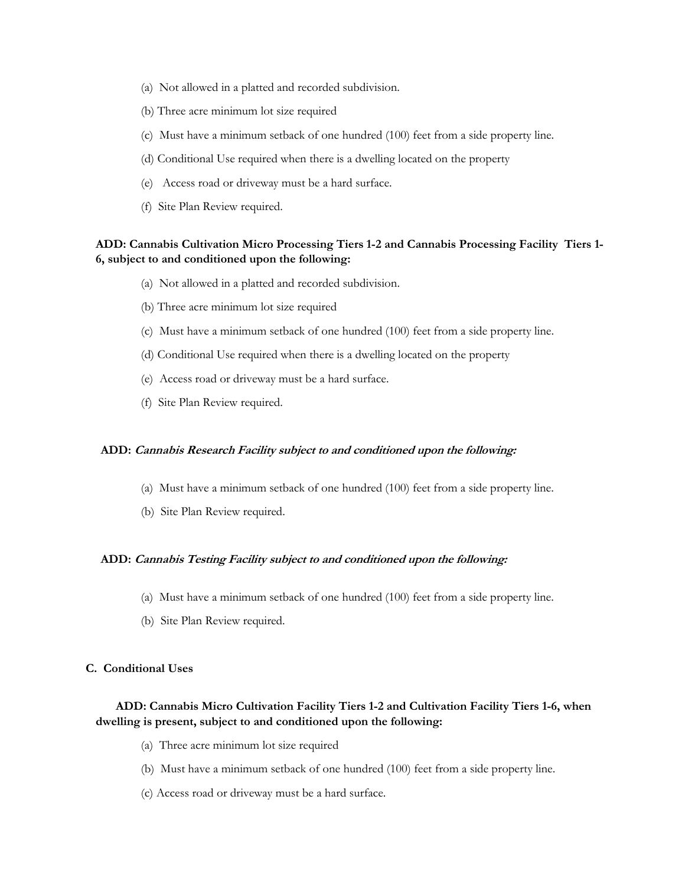- (a) Not allowed in a platted and recorded subdivision.
- (b) Three acre minimum lot size required
- (c) Must have a minimum setback of one hundred (100) feet from a side property line.
- (d) Conditional Use required when there is a dwelling located on the property
- (e) Access road or driveway must be a hard surface.
- (f) Site Plan Review required.

# **ADD: Cannabis Cultivation Micro Processing Tiers 1-2 and Cannabis Processing Facility Tiers 1- 6, subject to and conditioned upon the following:**

- (a) Not allowed in a platted and recorded subdivision.
- (b) Three acre minimum lot size required
- (c) Must have a minimum setback of one hundred (100) feet from a side property line.
- (d) Conditional Use required when there is a dwelling located on the property
- (e) Access road or driveway must be a hard surface.
- (f) Site Plan Review required.

# **ADD: Cannabis Research Facility subject to and conditioned upon the following:**

- (a) Must have a minimum setback of one hundred (100) feet from a side property line.
- (b) Site Plan Review required.

## **ADD: Cannabis Testing Facility subject to and conditioned upon the following:**

- (a) Must have a minimum setback of one hundred (100) feet from a side property line.
- (b) Site Plan Review required.

#### **C. Conditional Uses**

# **ADD: Cannabis Micro Cultivation Facility Tiers 1-2 and Cultivation Facility Tiers 1-6, when dwelling is present, subject to and conditioned upon the following:**

- (a) Three acre minimum lot size required
- (b) Must have a minimum setback of one hundred (100) feet from a side property line.
- (c) Access road or driveway must be a hard surface.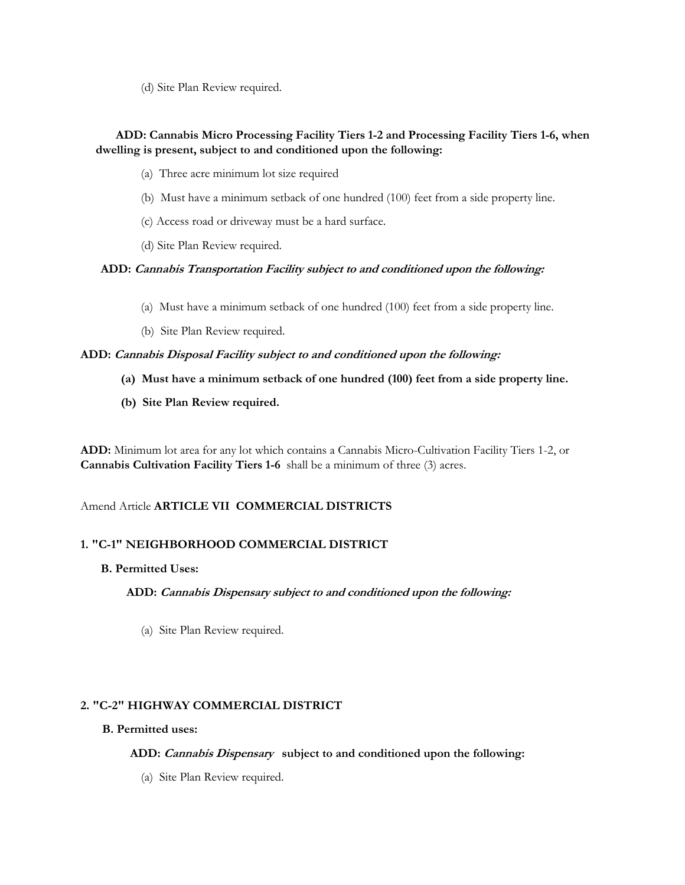(d) Site Plan Review required.

# **ADD: Cannabis Micro Processing Facility Tiers 1-2 and Processing Facility Tiers 1-6, when dwelling is present, subject to and conditioned upon the following:**

- (a) Three acre minimum lot size required
- (b) Must have a minimum setback of one hundred (100) feet from a side property line.
- (c) Access road or driveway must be a hard surface.
- (d) Site Plan Review required.

## **ADD: Cannabis Transportation Facility subject to and conditioned upon the following:**

- (a) Must have a minimum setback of one hundred (100) feet from a side property line.
- (b) Site Plan Review required.

## **ADD: Cannabis Disposal Facility subject to and conditioned upon the following:**

- **(a) Must have a minimum setback of one hundred (100) feet from a side property line.**
- **(b) Site Plan Review required.**

**ADD:** Minimum lot area for any lot which contains a Cannabis Micro-Cultivation Facility Tiers 1-2, or **Cannabis Cultivation Facility Tiers 1-6** shall be a minimum of three (3) acres.

# Amend Article **ARTICLE VII COMMERCIAL DISTRICTS**

# **1. "C-1" NEIGHBORHOOD COMMERCIAL DISTRICT**

#### **B. Permitted Uses:**

**ADD: Cannabis Dispensary subject to and conditioned upon the following:**

(a) Site Plan Review required.

# **2. "C-2" HIGHWAY COMMERCIAL DISTRICT**

#### **B. Permitted uses:**

 **ADD: Cannabis Dispensary subject to and conditioned upon the following:**

(a) Site Plan Review required.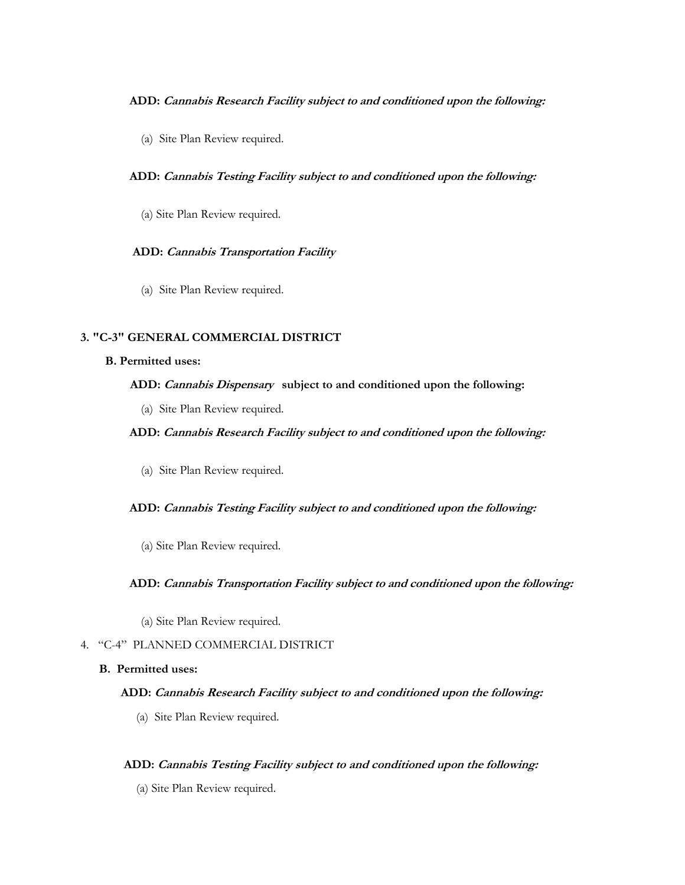#### **ADD: Cannabis Research Facility subject to and conditioned upon the following:**

(a) Site Plan Review required.

## **ADD: Cannabis Testing Facility subject to and conditioned upon the following:**

(a) Site Plan Review required.

## **ADD: Cannabis Transportation Facility**

(a) Site Plan Review required.

## **3. "C-3" GENERAL COMMERCIAL DISTRICT**

#### **B. Permitted uses:**

# **ADD: Cannabis Dispensary subject to and conditioned upon the following:**

(a) Site Plan Review required.

## **ADD: Cannabis Research Facility subject to and conditioned upon the following:**

(a) Site Plan Review required.

#### **ADD: Cannabis Testing Facility subject to and conditioned upon the following:**

(a) Site Plan Review required.

#### **ADD: Cannabis Transportation Facility subject to and conditioned upon the following:**

(a) Site Plan Review required.

## 4. "C-4" PLANNED COMMERCIAL DISTRICT

#### **B. Permitted uses:**

#### **ADD: Cannabis Research Facility subject to and conditioned upon the following:**

(a) Site Plan Review required.

#### **ADD: Cannabis Testing Facility subject to and conditioned upon the following:**

(a) Site Plan Review required.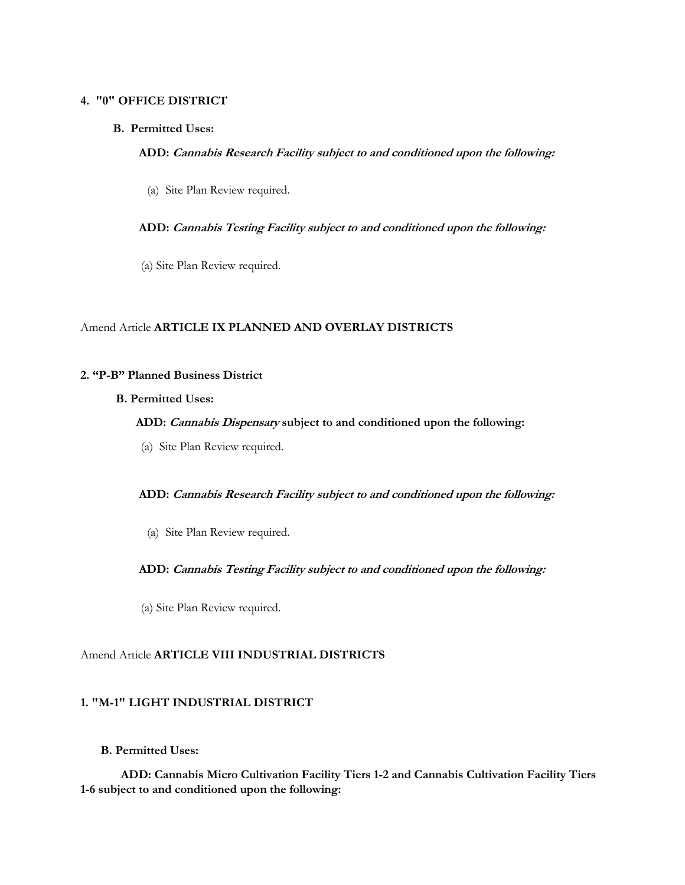## **4. "0" OFFICE DISTRICT**

#### **B. Permitted Uses:**

#### **ADD: Cannabis Research Facility subject to and conditioned upon the following:**

(a) Site Plan Review required.

#### **ADD: Cannabis Testing Facility subject to and conditioned upon the following:**

(a) Site Plan Review required.

## Amend Article **ARTICLE IX PLANNED AND OVERLAY DISTRICTS**

## **2. "P-B" Planned Business District**

#### **B. Permitted Uses:**

#### **ADD: Cannabis Dispensary subject to and conditioned upon the following:**

(a) Site Plan Review required.

#### **ADD: Cannabis Research Facility subject to and conditioned upon the following:**

(a) Site Plan Review required.

#### **ADD: Cannabis Testing Facility subject to and conditioned upon the following:**

(a) Site Plan Review required.

#### Amend Article **ARTICLE VIII INDUSTRIAL DISTRICTS**

## **1. "M-1" LIGHT INDUSTRIAL DISTRICT**

## **B. Permitted Uses:**

 **ADD: Cannabis Micro Cultivation Facility Tiers 1-2 and Cannabis Cultivation Facility Tiers 1-6 subject to and conditioned upon the following:**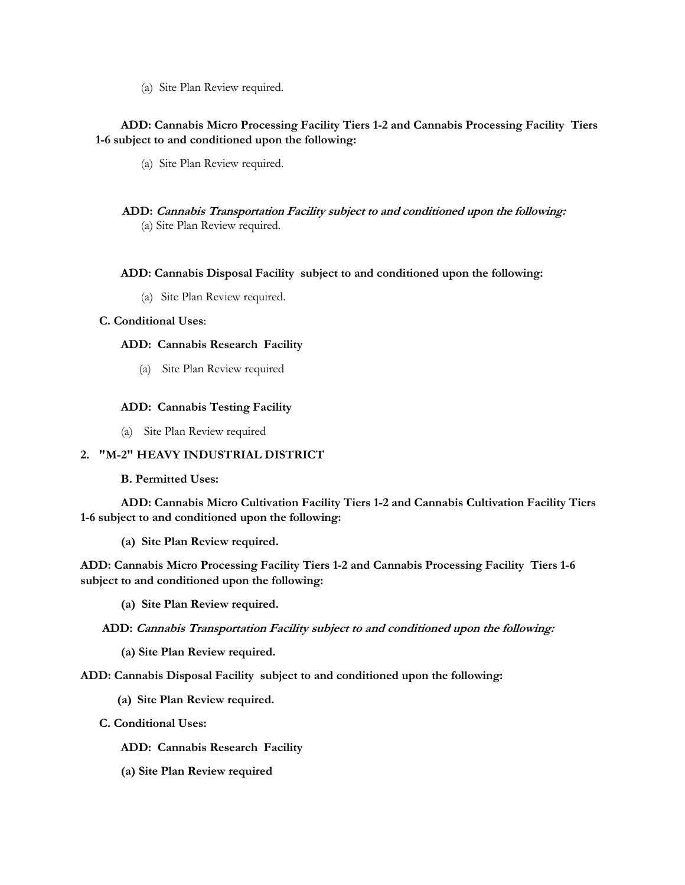(a) Site Plan Review required.

# **ADD: Cannabis Micro Processing Facility Tiers 1-2 and Cannabis Processing Facility Tiers 1-6 subject to and conditioned upon the following:**

- (a) Site Plan Review required.
- **ADD: Cannabis Transportation Facility subject to and conditioned upon the following:** (a) Site Plan Review required.

## **ADD: Cannabis Disposal Facility subject to and conditioned upon the following:**

(a) Site Plan Review required.

## **C. Conditional Uses**:

## **ADD: Cannabis Research Facility**

(a) Site Plan Review required

## **ADD: Cannabis Testing Facility**

(a) Site Plan Review required

# **2. "M-2" HEAVY INDUSTRIAL DISTRICT**

**B. Permitted Uses:**

 **ADD: Cannabis Micro Cultivation Facility Tiers 1-2 and Cannabis Cultivation Facility Tiers 1-6 subject to and conditioned upon the following:**

**(a) Site Plan Review required.**

**ADD: Cannabis Micro Processing Facility Tiers 1-2 and Cannabis Processing Facility Tiers 1-6 subject to and conditioned upon the following:**

**(a) Site Plan Review required.**

#### **ADD: Cannabis Transportation Facility subject to and conditioned upon the following:**

**(a) Site Plan Review required.**

**ADD: Cannabis Disposal Facility subject to and conditioned upon the following:**

**(a) Site Plan Review required.**

- **C. Conditional Uses:**
	- **ADD: Cannabis Research Facility**
	- **(a) Site Plan Review required**